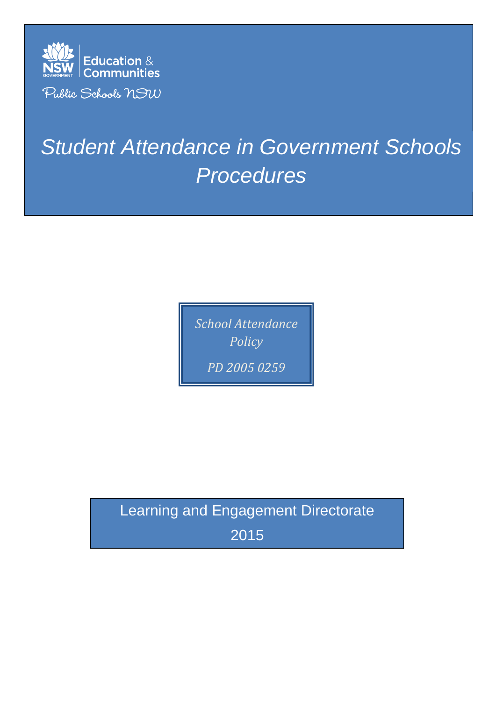

# *Student Attendance in Government Schools Procedures*

*School Attendance Policy PD 2005 0259*

Learning and Engagement Directorate 2015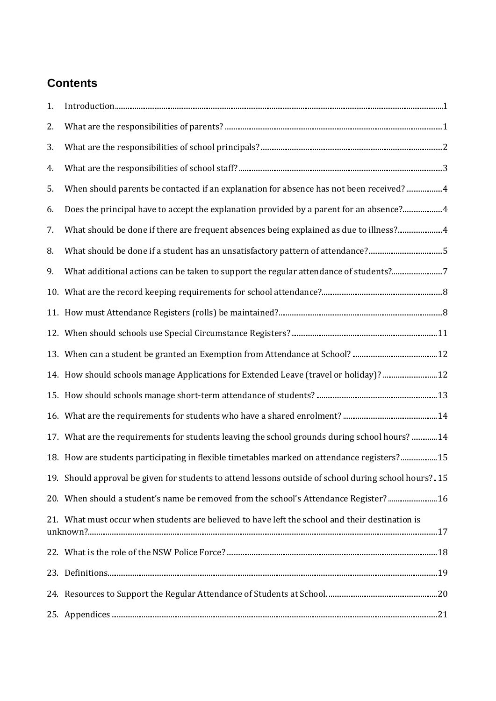# **Contents**

| 1. | $\label{prop:1} In traditional \emph{uaction} \normalsize \begin{minipage}{0.99\textwidth} \centering \begin{minipage}{0.99\textwidth} \centering \end{minipage} \begin{minipage}{0.99\textwidth} \centering \begin{minipage}{0.99\textwidth} \centering \end{minipage} \begin{minipage}{0.99\textwidth} \centering \end{minipage} \begin{minipage}{0.99\textwidth} \centering \end{minipage} \begin{minipage}{0.99\textwidth} \centering \end{minipage} \begin{minipage}{0.99\textwidth} \centering \end{minipage} \begin{minipage}{0.99\textwidth$ |
|----|------------------------------------------------------------------------------------------------------------------------------------------------------------------------------------------------------------------------------------------------------------------------------------------------------------------------------------------------------------------------------------------------------------------------------------------------------------------------------------------------------------------------------------------------------|
| 2. |                                                                                                                                                                                                                                                                                                                                                                                                                                                                                                                                                      |
| 3. |                                                                                                                                                                                                                                                                                                                                                                                                                                                                                                                                                      |
| 4. |                                                                                                                                                                                                                                                                                                                                                                                                                                                                                                                                                      |
| 5. | When should parents be contacted if an explanation for absence has not been received?  4                                                                                                                                                                                                                                                                                                                                                                                                                                                             |
| 6. | Does the principal have to accept the explanation provided by a parent for an absence?4                                                                                                                                                                                                                                                                                                                                                                                                                                                              |
| 7. | What should be done if there are frequent absences being explained as due to illness?4                                                                                                                                                                                                                                                                                                                                                                                                                                                               |
| 8. | What should be done if a student has an unsatisfactory pattern of attendance?5                                                                                                                                                                                                                                                                                                                                                                                                                                                                       |
| 9. | What additional actions can be taken to support the regular attendance of students?7                                                                                                                                                                                                                                                                                                                                                                                                                                                                 |
|    |                                                                                                                                                                                                                                                                                                                                                                                                                                                                                                                                                      |
|    |                                                                                                                                                                                                                                                                                                                                                                                                                                                                                                                                                      |
|    |                                                                                                                                                                                                                                                                                                                                                                                                                                                                                                                                                      |
|    |                                                                                                                                                                                                                                                                                                                                                                                                                                                                                                                                                      |
|    | 12. How should schools manage Applications for Extended Leave (travel or holiday)?  12                                                                                                                                                                                                                                                                                                                                                                                                                                                               |
|    |                                                                                                                                                                                                                                                                                                                                                                                                                                                                                                                                                      |
|    |                                                                                                                                                                                                                                                                                                                                                                                                                                                                                                                                                      |
|    | 14. What are the requirements for students leaving the school grounds during school hours?  14                                                                                                                                                                                                                                                                                                                                                                                                                                                       |
|    | 15. How are students participating in flexible timetables marked on attendance registers? 15                                                                                                                                                                                                                                                                                                                                                                                                                                                         |
|    | 19. Should approval be given for students to attend lessons outside of school during school hours?15                                                                                                                                                                                                                                                                                                                                                                                                                                                 |
|    | 20. When should a student's name be removed from the school's Attendance Register? 16                                                                                                                                                                                                                                                                                                                                                                                                                                                                |
|    | 21. What must occur when students are believed to have left the school and their destination is                                                                                                                                                                                                                                                                                                                                                                                                                                                      |
|    |                                                                                                                                                                                                                                                                                                                                                                                                                                                                                                                                                      |
|    |                                                                                                                                                                                                                                                                                                                                                                                                                                                                                                                                                      |
|    |                                                                                                                                                                                                                                                                                                                                                                                                                                                                                                                                                      |
|    |                                                                                                                                                                                                                                                                                                                                                                                                                                                                                                                                                      |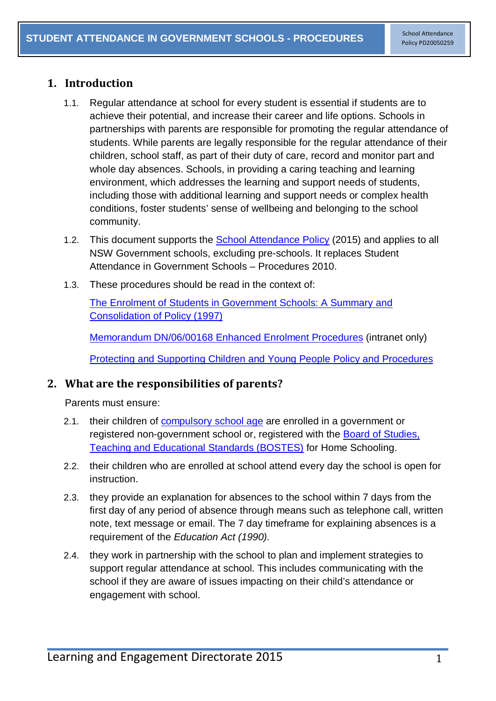## <span id="page-2-0"></span>**1. Introduction**

- 1.1. Regular attendance at school for every student is essential if students are to achieve their potential, and increase their career and life options. Schools in partnerships with parents are responsible for promoting the regular attendance of students. While parents are legally responsible for the regular attendance of their children, school staff, as part of their duty of care, record and monitor part and whole day absences. Schools, in providing a caring teaching and learning environment, which addresses the learning and support needs of students, including those with additional learning and support needs or complex health conditions, foster students' sense of wellbeing and belonging to the school community.
- 1.2. This document supports the **School Attendance Policy** (2015) and applies to all NSW Government schools, excluding pre-schools. It replaces Student Attendance in Government Schools – Procedures 2010.
- 1.3. These procedures should be read in the context of:

[The Enrolment of Students in Government Schools: A Summary and](https://www.det.nsw.edu.au/policies/student_admin/enrolment/enrolpol/PD20020006.shtml?)  [Consolidation of Policy \(1997\)](https://www.det.nsw.edu.au/policies/student_admin/enrolment/enrolpol/PD20020006.shtml?)

Memorandum [DN/06/00168 Enhanced Enrolment Procedures](https://detwww.det.nsw.edu.au/schooladmin/schoolenrolment/memodn0600168.htm) (intranet only)

[Protecting and Supporting Children and Young People Policy](https://www.det.nsw.edu.au/policies/student_serv/child_protection/prot_children/PD20020067.shtml?) and Procedures

## <span id="page-2-1"></span>**2. What are the responsibilities of parents?**

Parents must ensure:

- 2.1. their children of [compulsory school age](http://www.austlii.edu.au/au/legis/nsw/consol_act/ea1990104/s21b.html) are enrolled in a government or registered non-government school or, registered with the [Board of Studies,](http://www.boardofstudies.nsw.edu.au/parents/home-schooling.html)  [Teaching and Educational Standards \(BOSTES\)](http://www.boardofstudies.nsw.edu.au/parents/home-schooling.html) for Home Schooling.
- 2.2. their children who are enrolled at school attend every day the school is open for instruction.
- 2.3. they provide an explanation for absences to the school within 7 days from the first day of any period of absence through means such as telephone call, written note, text message or email. The 7 day timeframe for explaining absences is a requirement of the *Education Act (1990).*
- 2.4. they work in partnership with the school to plan and implement strategies to support regular attendance at school. This includes communicating with the school if they are aware of issues impacting on their child's attendance or engagement with school.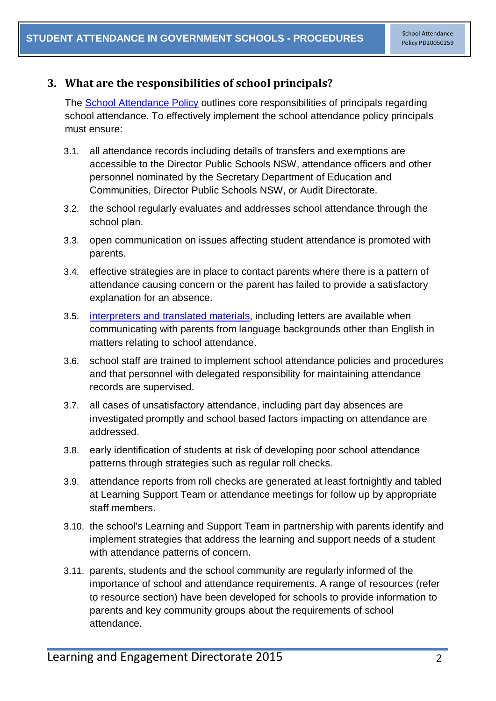## <span id="page-3-0"></span>**3. What are the responsibilities of school principals?**

The [School Attendance Policy](https://www.det.nsw.edu.au/policies/student_admin/attendance/sch_polproc/PD20050259.shtml?level=) outlines core responsibilities of principals regarding school attendance. To effectively implement the school attendance policy principals must ensure:

- 3.1. all attendance records including details of transfers and exemptions are accessible to the Director Public Schools NSW, attendance officers and other personnel nominated by the Secretary Department of Education and Communities, Director Public Schools NSW, or Audit Directorate.
- 3.2. the school regularly evaluates and addresses school attendance through the school plan.
- 3.3. open communication on issues affecting student attendance is promoted with parents.
- 3.4. effective strategies are in place to contact parents where there is a pattern of attendance causing concern or the parent has failed to provide a satisfactory explanation for an absence.
- 3.5. interpreters [and translated materials,](http://www.schools.nsw.edu.au/languagesupport/language/index.php) including letters are available when communicating with parents from language backgrounds other than English in matters relating to school attendance.
- 3.6. school staff are trained to implement school attendance policies and procedures and that personnel with delegated responsibility for maintaining attendance records are supervised.
- 3.7. all cases of unsatisfactory attendance, including part day absences are investigated promptly and school based factors impacting on attendance are addressed.
- 3.8. early identification of students at risk of developing poor school attendance patterns through strategies such as regular roll checks.
- 3.9. attendance reports from roll checks are generated at least fortnightly and tabled at Learning Support Team or attendance meetings for follow up by appropriate staff members.
- 3.10. the school's Learning and Support Team in partnership with parents identify and implement strategies that address the learning and support needs of a student with attendance patterns of concern.
- 3.11. parents, students and the school community are regularly informed of the importance of school and attendance requirements. A range of resources (refer to resource section) have been developed for schools to provide information to parents and key community groups about the requirements of school attendance.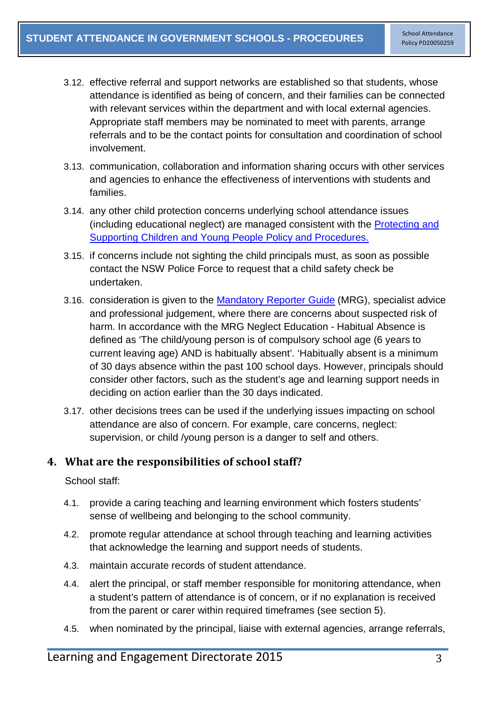- 3.12. effective referral and support networks are established so that students, whose attendance is identified as being of concern, and their families can be connected with relevant services within the department and with local external agencies. Appropriate staff members may be nominated to meet with parents, arrange referrals and to be the contact points for consultation and coordination of school involvement.
- 3.13. communication, collaboration and information sharing occurs with other services and agencies to enhance the effectiveness of interventions with students and families.
- 3.14. any other child protection concerns underlying school attendance issues (including educational neglect) are managed consistent with the [Protecting and](https://www.det.nsw.edu.au/policies/student_serv/child_protection/prot_children/PD20020067.shtml?)  [Supporting Children and Young People Policy and Procedures.](https://www.det.nsw.edu.au/policies/student_serv/child_protection/prot_children/PD20020067.shtml?)
- 3.15. if concerns include not sighting the child principals must, as soon as possible contact the NSW Police Force to request that a child safety check be undertaken.
- 3.16. consideration is given to the [Mandatory Reporter Guide](http://www.keepthemsafe.nsw.gov.au/reporting_concerns/mandatory_reporter_guide) (MRG), specialist advice and professional judgement, where there are concerns about suspected risk of harm. In accordance with the MRG Neglect Education - Habitual Absence is defined as 'The child/young person is of compulsory school age (6 years to current leaving age) AND is habitually absent'. 'Habitually absent is a minimum of 30 days absence within the past 100 school days. However, principals should consider other factors, such as the student's age and learning support needs in deciding on action earlier than the 30 days indicated.
- 3.17. other decisions trees can be used if the underlying issues impacting on school attendance are also of concern. For example, care concerns, neglect: supervision, or child /young person is a danger to self and others.

#### <span id="page-4-0"></span>**4. What are the responsibilities of school staff?**

School staff:

- 4.1. provide a caring teaching and learning environment which fosters students' sense of wellbeing and belonging to the school community.
- 4.2. promote regular attendance at school through teaching and learning activities that acknowledge the learning and support needs of students.
- 4.3. maintain accurate records of student attendance.
- 4.4. alert the principal, or staff member responsible for monitoring attendance, when a student's pattern of attendance is of concern, or if no explanation is received from the parent or carer within required timeframes (see section 5).
- 4.5. when nominated by the principal, liaise with external agencies, arrange referrals,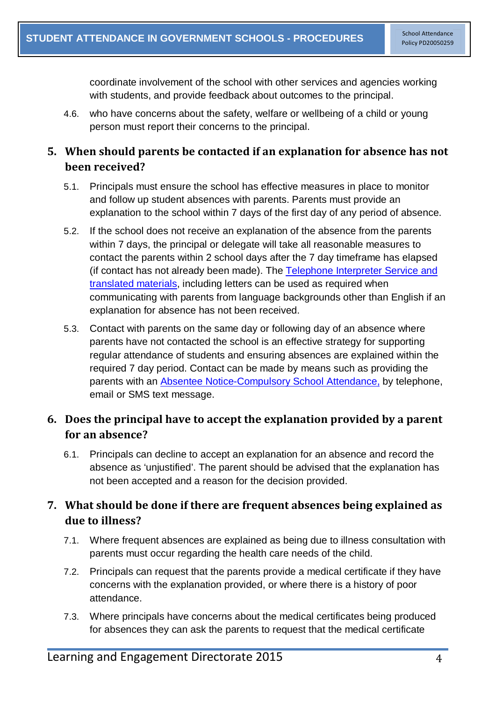coordinate involvement of the school with other services and agencies working with students, and provide feedback about outcomes to the principal.

4.6. who have concerns about the safety, welfare or wellbeing of a child or young person must report their concerns to the principal.

## <span id="page-5-0"></span>**5. When should parents be contacted if an explanation for absence has not been received?**

- 5.1. Principals must ensure the school has effective measures in place to monitor and follow up student absences with parents. Parents must provide an explanation to the school within 7 days of the first day of any period of absence.
- 5.2. If the school does not receive an explanation of the absence from the parents within 7 days, the principal or delegate will take all reasonable measures to contact the parents within 2 school days after the 7 day timeframe has elapsed (if contact has not already been made). The [Telephone Interpreter Service and](http://www.schools.nsw.edu.au/languagesupport/language/index.php)  [translated materials,](http://www.schools.nsw.edu.au/languagesupport/language/index.php) including letters can be used as required when communicating with parents from language backgrounds other than English if an explanation for absence has not been received.
- 5.3. Contact with parents on the same day or following day of an absence where parents have not contacted the school is an effective strategy for supporting regular attendance of students and ensuring absences are explained within the required 7 day period. Contact can be made by means such as providing the parents with an [Absentee Notice-Compulsory School Attendance,](https://www.det.nsw.edu.au/policies/student_admin/attendance/sch_polproc/absentee.pdf) by telephone, email or SMS text message.

# <span id="page-5-1"></span>**6. Does the principal have to accept the explanation provided by a parent for an absence?**

6.1. Principals can decline to accept an explanation for an absence and record the absence as 'unjustified'. The parent should be advised that the explanation has not been accepted and a reason for the decision provided.

# <span id="page-5-2"></span>**7. What should be done if there are frequent absences being explained as due to illness?**

- 7.1. Where frequent absences are explained as being due to illness consultation with parents must occur regarding the health care needs of the child.
- 7.2. Principals can request that the parents provide a medical certificate if they have concerns with the explanation provided, or where there is a history of poor attendance.
- 7.3. Where principals have concerns about the medical certificates being produced for absences they can ask the parents to request that the medical certificate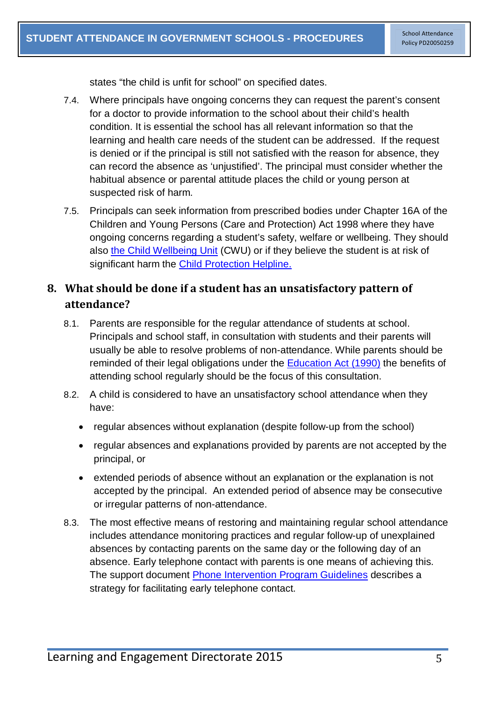states "the child is unfit for school" on specified dates.

- 7.4. Where principals have ongoing concerns they can request the parent's consent for a doctor to provide information to the school about their child's health condition. It is essential the school has all relevant information so that the learning and health care needs of the student can be addressed. If the request is denied or if the principal is still not satisfied with the reason for absence, they can record the absence as 'unjustified'. The principal must consider whether the habitual absence or parental attitude places the child or young person at suspected risk of harm.
- 7.5. Principals can seek information from prescribed bodies under Chapter 16A of the Children and Young Persons (Care and Protection) Act 1998 where they have ongoing concerns regarding a student's safety, welfare or wellbeing. They should also [the Child Wellbeing Unit](https://detwww.det.nsw.edu.au/lists/directoratesaz/stuwelfare/cwu/index.htm) (CWU) or if they believe the student is at risk of significant harm the [Child Protection Helpline.](http://www.community.nsw.gov.au/docs_menu/preventing_child_abuse_and_neglect/resources_for_mandatory_reporters.html)

## <span id="page-6-0"></span>**8. What should be done if a student has an unsatisfactory pattern of attendance?**

- 8.1. Parents are responsible for the regular attendance of students at school. Principals and school staff, in consultation with students and their parents will usually be able to resolve problems of non-attendance. While parents should be reminded of their legal obligations under the [Education Act \(1990\)](http://www.austlii.edu.au/au/legis/nsw/consol_act/ea1990104/) the benefits of attending school regularly should be the focus of this consultation.
- 8.2. A child is considered to have an unsatisfactory school attendance when they have:
	- regular absences without explanation (despite follow-up from the school)
	- regular absences and explanations provided by parents are not accepted by the principal, or
	- extended periods of absence without an explanation or the explanation is not accepted by the principal. An extended period of absence may be consecutive or irregular patterns of non-attendance.
- 8.3. The most effective means of restoring and maintaining regular school attendance includes attendance monitoring practices and regular follow-up of unexplained absences by contacting parents on the same day or the following day of an absence. Early telephone contact with parents is one means of achieving this. The support document [Phone Intervention Program Guidelines](https://www.det.nsw.edu.au/policies/student_admin/attendance/sch_polproc/pips.pdf) describes a strategy for facilitating early telephone contact.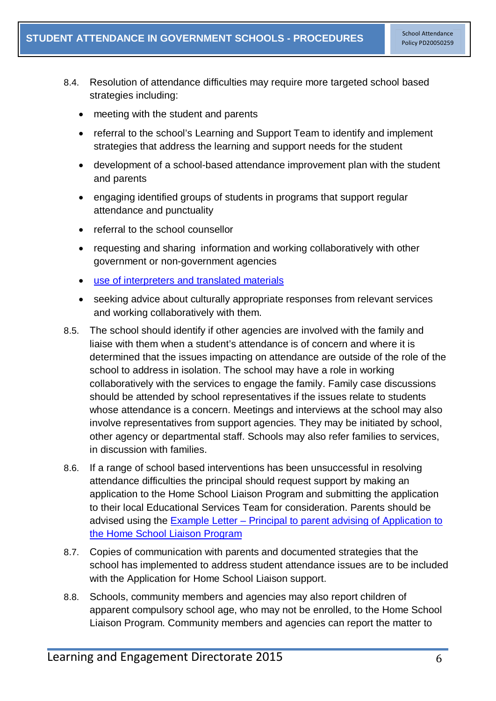- 8.4. Resolution of attendance difficulties may require more targeted school based strategies including:
	- meeting with the student and parents
	- referral to the school's Learning and Support Team to identify and implement strategies that address the learning and support needs for the student
	- development of a school-based attendance improvement plan with the student and parents
	- engaging identified groups of students in programs that support regular attendance and punctuality
	- referral to the school counsellor
	- requesting and sharing information and working collaboratively with other government or non-government agencies
	- [use of interpreters and translated materials](http://www.schools.nsw.edu.au/languagesupport/language/index.php)
	- seeking advice about culturally appropriate responses from relevant services and working collaboratively with them.
- 8.5. The school should identify if other agencies are involved with the family and liaise with them when a student's attendance is of concern and where it is determined that the issues impacting on attendance are outside of the role of the school to address in isolation. The school may have a role in working collaboratively with the services to engage the family. Family case discussions should be attended by school representatives if the issues relate to students whose attendance is a concern. Meetings and interviews at the school may also involve representatives from support agencies. They may be initiated by school, other agency or departmental staff. Schools may also refer families to services, in discussion with families.
- 8.6. If a range of school based interventions has been unsuccessful in resolving attendance difficulties the principal should request support by making an application to the Home School Liaison Program and submitting the application to their local Educational Services Team for consideration. Parents should be advised using the Example Letter – [Principal to parent advising of Application to](https://www.det.nsw.edu.au/policies/student_admin/attendance/sch_polproc/let-1.pdf)  [the Home School Liaison Program](https://www.det.nsw.edu.au/policies/student_admin/attendance/sch_polproc/let-1.pdf)
- 8.7. Copies of communication with parents and documented strategies that the school has implemented to address student attendance issues are to be included with the Application for Home School Liaison support.
- 8.8. Schools, community members and agencies may also report children of apparent compulsory school age, who may not be enrolled, to the Home School Liaison Program. Community members and agencies can report the matter to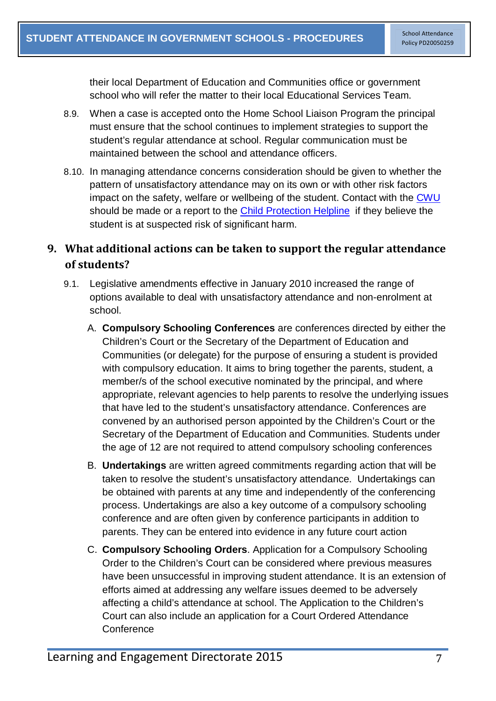their local Department of Education and Communities office or government school who will refer the matter to their local Educational Services Team.

- 8.9. When a case is accepted onto the Home School Liaison Program the principal must ensure that the school continues to implement strategies to support the student's regular attendance at school. Regular communication must be maintained between the school and attendance officers.
- 8.10. In managing attendance concerns consideration should be given to whether the pattern of unsatisfactory attendance may on its own or with other risk factors impact on the safety, welfare or wellbeing of the student. Contact with the [CWU](https://detwww.det.nsw.edu.au/lists/directoratesaz/stuwelfare/cwu/index.htm) should be made or a report to the [Child Protection Helpline](http://www.community.nsw.gov.au/docs_menu/preventing_child_abuse_and_neglect/resources_for_mandatory_reporters.html) if they believe the student is at suspected risk of significant harm.

## <span id="page-8-0"></span>**9. What additional actions can be taken to support the regular attendance of students?**

- 9.1. Legislative amendments effective in January 2010 increased the range of options available to deal with unsatisfactory attendance and non-enrolment at school.
	- A. **Compulsory Schooling Conferences** are conferences directed by either the Children's Court or the Secretary of the Department of Education and Communities (or delegate) for the purpose of ensuring a student is provided with compulsory education. It aims to bring together the parents, student, a member/s of the school executive nominated by the principal, and where appropriate, relevant agencies to help parents to resolve the underlying issues that have led to the student's unsatisfactory attendance. Conferences are convened by an authorised person appointed by the Children's Court or the Secretary of the Department of Education and Communities. Students under the age of 12 are not required to attend compulsory schooling conferences
	- B. **Undertakings** are written agreed commitments regarding action that will be taken to resolve the student's unsatisfactory attendance. Undertakings can be obtained with parents at any time and independently of the conferencing process. Undertakings are also a key outcome of a compulsory schooling conference and are often given by conference participants in addition to parents. They can be entered into evidence in any future court action
	- C. **Compulsory Schooling Orders**. Application for a Compulsory Schooling Order to the Children's Court can be considered where previous measures have been unsuccessful in improving student attendance. It is an extension of efforts aimed at addressing any welfare issues deemed to be adversely affecting a child's attendance at school. The Application to the Children's Court can also include an application for a Court Ordered Attendance **Conference**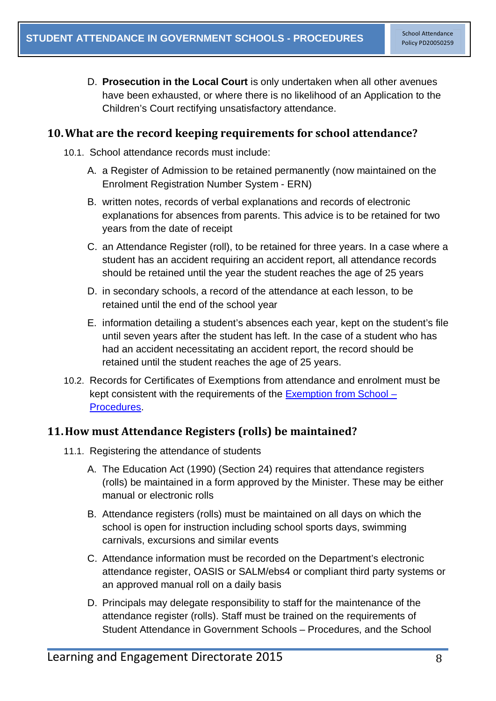D. **Prosecution in the Local Court** is only undertaken when all other avenues have been exhausted, or where there is no likelihood of an Application to the Children's Court rectifying unsatisfactory attendance.

#### <span id="page-9-0"></span>**10.What are the record keeping requirements for school attendance?**

- 10.1. School attendance records must include:
	- A. a Register of Admission to be retained permanently (now maintained on the Enrolment Registration Number System - ERN)
	- B. written notes, records of verbal explanations and records of electronic explanations for absences from parents. This advice is to be retained for two years from the date of receipt
	- C. an Attendance Register (roll), to be retained for three years. In a case where a student has an accident requiring an accident report, all attendance records should be retained until the year the student reaches the age of 25 years
	- D. in secondary schools, a record of the attendance at each lesson, to be retained until the end of the school year
	- E. information detailing a student's absences each year, kept on the student's file until seven years after the student has left. In the case of a student who has had an accident necessitating an accident report, the record should be retained until the student reaches the age of 25 years.
- 10.2. Records for Certificates of Exemptions from attendance and enrolment must be kept consistent with the requirements of the [Exemption from School –](https://www.det.nsw.edu.au/policies/student_admin/attendance/sch_polproc/implementation_2_PD20050259.shtml) [Procedures.](https://www.det.nsw.edu.au/policies/student_admin/attendance/sch_polproc/implementation_2_PD20050259.shtml)

#### <span id="page-9-1"></span>**11.How must Attendance Registers (rolls) be maintained?**

- 11.1. Registering the attendance of students
	- A. The Education Act (1990) (Section 24) requires that attendance registers (rolls) be maintained in a form approved by the Minister. These may be either manual or electronic rolls
	- B. Attendance registers (rolls) must be maintained on all days on which the school is open for instruction including school sports days, swimming carnivals, excursions and similar events
	- C. Attendance information must be recorded on the Department's electronic attendance register, OASIS or SALM/ebs4 or compliant third party systems or an approved manual roll on a daily basis
	- D. Principals may delegate responsibility to staff for the maintenance of the attendance register (rolls). Staff must be trained on the requirements of Student Attendance in Government Schools – Procedures, and the School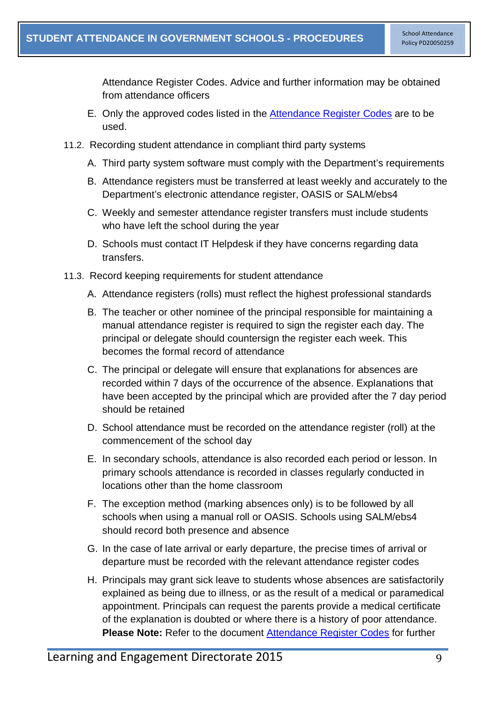Attendance Register Codes. Advice and further information may be obtained from attendance officers

- E. Only the approved codes listed in the [Attendance Register Codes](https://www.det.nsw.edu.au/policies/student_admin/attendance/sch_polproc/reg_codes.pdf) are to be used.
- 11.2. Recording student attendance in compliant third party systems
	- A. Third party system software must comply with the Department's requirements
	- B. Attendance registers must be transferred at least weekly and accurately to the Department's electronic attendance register, OASIS or SALM/ebs4
	- C. Weekly and semester attendance register transfers must include students who have left the school during the year
	- D. Schools must contact IT Helpdesk if they have concerns regarding data transfers.
- 11.3. Record keeping requirements for student attendance
	- A. Attendance registers (rolls) must reflect the highest professional standards
	- B. The teacher or other nominee of the principal responsible for maintaining a manual attendance register is required to sign the register each day. The principal or delegate should countersign the register each week. This becomes the formal record of attendance
	- C. The principal or delegate will ensure that explanations for absences are recorded within 7 days of the occurrence of the absence. Explanations that have been accepted by the principal which are provided after the 7 day period should be retained
	- D. School attendance must be recorded on the attendance register (roll) at the commencement of the school day
	- E. In secondary schools, attendance is also recorded each period or lesson. In primary schools attendance is recorded in classes regularly conducted in locations other than the home classroom
	- F. The exception method (marking absences only) is to be followed by all schools when using a manual roll or OASIS. Schools using SALM/ebs4 should record both presence and absence
	- G. In the case of late arrival or early departure, the precise times of arrival or departure must be recorded with the relevant attendance register codes
	- H. Principals may grant sick leave to students whose absences are satisfactorily explained as being due to illness, or as the result of a medical or paramedical appointment. Principals can request the parents provide a medical certificate of the explanation is doubted or where there is a history of poor attendance. **Please Note:** Refer to the document [Attendance Register Codes](https://www.det.nsw.edu.au/policies/student_admin/attendance/sch_polproc/reg_codes.pdf) for further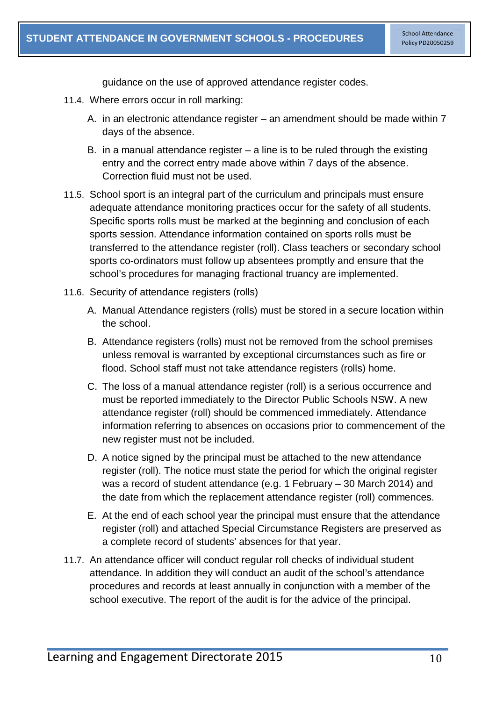guidance on the use of approved attendance register codes.

- 11.4. Where errors occur in roll marking:
	- A. in an electronic attendance register an amendment should be made within 7 days of the absence.
	- B. in a manual attendance register  $-$  a line is to be ruled through the existing entry and the correct entry made above within 7 days of the absence. Correction fluid must not be used.
- 11.5. School sport is an integral part of the curriculum and principals must ensure adequate attendance monitoring practices occur for the safety of all students. Specific sports rolls must be marked at the beginning and conclusion of each sports session. Attendance information contained on sports rolls must be transferred to the attendance register (roll). Class teachers or secondary school sports co-ordinators must follow up absentees promptly and ensure that the school's procedures for managing fractional truancy are implemented.
- 11.6. Security of attendance registers (rolls)
	- A. Manual Attendance registers (rolls) must be stored in a secure location within the school.
	- B. Attendance registers (rolls) must not be removed from the school premises unless removal is warranted by exceptional circumstances such as fire or flood. School staff must not take attendance registers (rolls) home.
	- C. The loss of a manual attendance register (roll) is a serious occurrence and must be reported immediately to the Director Public Schools NSW. A new attendance register (roll) should be commenced immediately. Attendance information referring to absences on occasions prior to commencement of the new register must not be included.
	- D. A notice signed by the principal must be attached to the new attendance register (roll). The notice must state the period for which the original register was a record of student attendance (e.g. 1 February – 30 March 2014) and the date from which the replacement attendance register (roll) commences.
	- E. At the end of each school year the principal must ensure that the attendance register (roll) and attached Special Circumstance Registers are preserved as a complete record of students' absences for that year.
- <span id="page-11-0"></span>11.7. An attendance officer will conduct regular roll checks of individual student attendance. In addition they will conduct an audit of the school's attendance procedures and records at least annually in conjunction with a member of the school executive. The report of the audit is for the advice of the principal.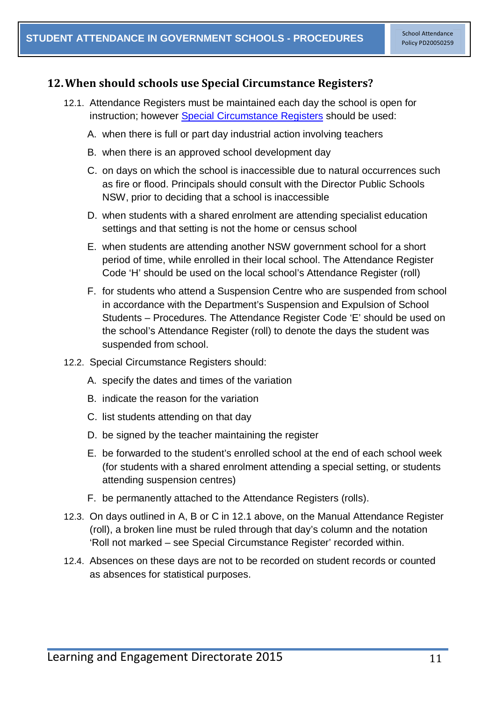#### **12.When should schools use Special Circumstance Registers?**

- 12.1. Attendance Registers must be maintained each day the school is open for instruction; however [Special Circumstance Registers](https://www.det.nsw.edu.au/policies/student_admin/attendance/sch_polproc/spcir_reg.pdf) should be used:
	- A. when there is full or part day industrial action involving teachers
	- B. when there is an approved school development day
	- C. on days on which the school is inaccessible due to natural occurrences such as fire or flood. Principals should consult with the Director Public Schools NSW, prior to deciding that a school is inaccessible
	- D. when students with a shared enrolment are attending specialist education settings and that setting is not the home or census school
	- E. when students are attending another NSW government school for a short period of time, while enrolled in their local school. The Attendance Register Code 'H' should be used on the local school's Attendance Register (roll)
	- F. for students who attend a Suspension Centre who are suspended from school in accordance with the Department's Suspension and Expulsion of School Students – Procedures. The Attendance Register Code 'E' should be used on the school's Attendance Register (roll) to denote the days the student was suspended from school.
- 12.2. Special Circumstance Registers should:
	- A. specify the dates and times of the variation
	- B. indicate the reason for the variation
	- C. list students attending on that day
	- D. be signed by the teacher maintaining the register
	- E. be forwarded to the student's enrolled school at the end of each school week (for students with a shared enrolment attending a special setting, or students attending suspension centres)
	- F. be permanently attached to the Attendance Registers (rolls).
- 12.3. On days outlined in A, B or C in 12.1 above, on the Manual Attendance Register (roll), a broken line must be ruled through that day's column and the notation 'Roll not marked – see Special Circumstance Register' recorded within.
- 12.4. Absences on these days are not to be recorded on student records or counted as absences for statistical purposes.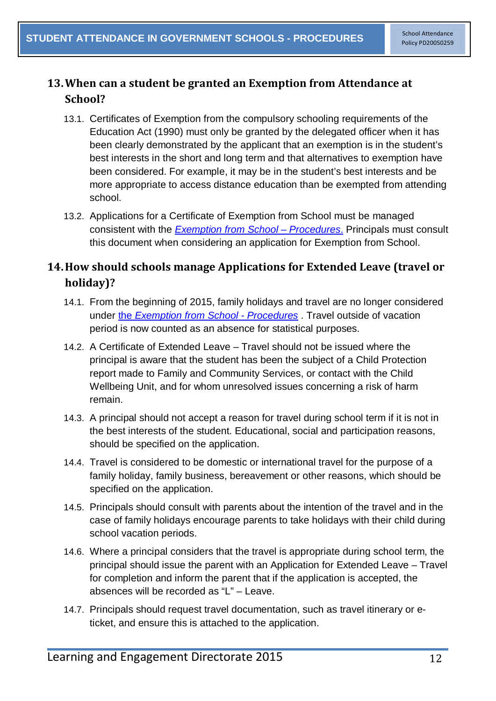## <span id="page-13-0"></span>**13.When can a student be granted an Exemption from Attendance at School?**

- 13.1. Certificates of Exemption from the compulsory schooling requirements of the Education Act (1990) must only be granted by the delegated officer when it has been clearly demonstrated by the applicant that an exemption is in the student's best interests in the short and long term and that alternatives to exemption have been considered. For example, it may be in the student's best interests and be more appropriate to access distance education than be exempted from attending school.
- 13.2. Applications for a Certificate of Exemption from School must be managed consistent with the *[Exemption from School –](https://www.det.nsw.edu.au/policies/student_admin/attendance/sch_polproc/exempt_gui.pdf) Procedures*. Principals must consult this document when considering an application for Exemption from School.

## <span id="page-13-1"></span>**14.How should schools manage Applications for Extended Leave (travel or holiday)?**

- 14.1. From the beginning of 2015, family holidays and travel are no longer considered under the *[Exemption from](https://www.det.nsw.edu.au/policies/student_admin/attendance/sch_polproc/exempt_gui.pdf) School - Procedures* . Travel outside of vacation period is now counted as an absence for statistical purposes.
- 14.2. A Certificate of Extended Leave Travel should not be issued where the principal is aware that the student has been the subject of a Child Protection report made to Family and Community Services, or contact with the Child Wellbeing Unit, and for whom unresolved issues concerning a risk of harm remain.
- 14.3. A principal should not accept a reason for travel during school term if it is not in the best interests of the student. Educational, social and participation reasons, should be specified on the application.
- 14.4. Travel is considered to be domestic or international travel for the purpose of a family holiday, family business, bereavement or other reasons, which should be specified on the application.
- 14.5. Principals should consult with parents about the intention of the travel and in the case of family holidays encourage parents to take holidays with their child during school vacation periods.
- 14.6. Where a principal considers that the travel is appropriate during school term, the principal should issue the parent with an Application for Extended Leave – Travel for completion and inform the parent that if the application is accepted, the absences will be recorded as "L" – Leave.
- 14.7. Principals should request travel documentation, such as travel itinerary or eticket, and ensure this is attached to the application.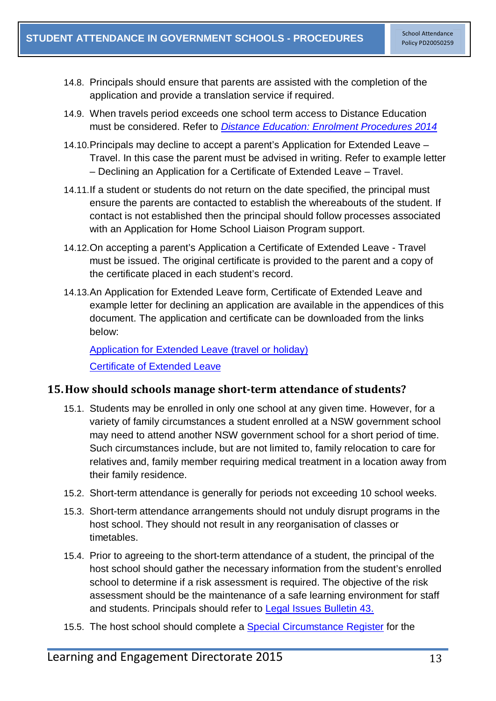- 14.8. Principals should ensure that parents are assisted with the completion of the application and provide a translation service if required.
- 14.9. When travels period exceeds one school term access to Distance Education must be considered. Refer to *Distance Education: [Enrolment Procedures 2014](http://www.schools.nsw.edu.au/media/downloads/rde/ruraledu/de-enrolproc.pdf)*
- 14.10.Principals may decline to accept a parent's Application for Extended Leave Travel. In this case the parent must be advised in writing. Refer to example letter – Declining an Application for a Certificate of Extended Leave – Travel.
- 14.11.If a student or students do not return on the date specified, the principal must ensure the parents are contacted to establish the whereabouts of the student. If contact is not established then the principal should follow processes associated with an Application for Home School Liaison Program support.
- 14.12.On accepting a parent's Application a Certificate of Extended Leave Travel must be issued. The original certificate is provided to the parent and a copy of the certificate placed in each student's record.
- 14.13.An Application for Extended Leave form, Certificate of Extended Leave and example letter for declining an application are available in the appendices of this document. The application and certificate can be downloaded from the links below:

[Application for Extended Leave \(travel or holiday\)](https://www.det.nsw.edu.au/policies/student_admin/attendance/sch_polproc/app-extl.pdf) **[Certificate of Extended Leave](https://www.det.nsw.edu.au/policies/student_admin/attendance/sch_polproc/cert-extl.pdf)** 

#### <span id="page-14-0"></span>**15.How should schools manage short-term attendance of students?**

- 15.1. Students may be enrolled in only one school at any given time. However, for a variety of family circumstances a student enrolled at a NSW government school may need to attend another NSW government school for a short period of time. Such circumstances include, but are not limited to, family relocation to care for relatives and, family member requiring medical treatment in a location away from their family residence.
- 15.2. Short-term attendance is generally for periods not exceeding 10 school weeks.
- 15.3. Short-term attendance arrangements should not unduly disrupt programs in the host school. They should not result in any reorganisation of classes or timetables.
- 15.4. Prior to agreeing to the short-term attendance of a student, the principal of the host school should gather the necessary information from the student's enrolled school to determine if a risk assessment is required. The objective of the risk assessment should be the maintenance of a safe learning environment for staff and students. Principals should refer to [Legal Issues Bulletin](https://detwww.det.nsw.edu.au/lists/directoratesaz/legalservices/ls/legalissuesbul/bulletinsissued/index.htm) 43.
- 15.5. The host school should complete a [Special Circumstance](https://www.det.nsw.edu.au/policies/student_admin/attendance/sch_polproc/spcir_reg.pdf) Register for the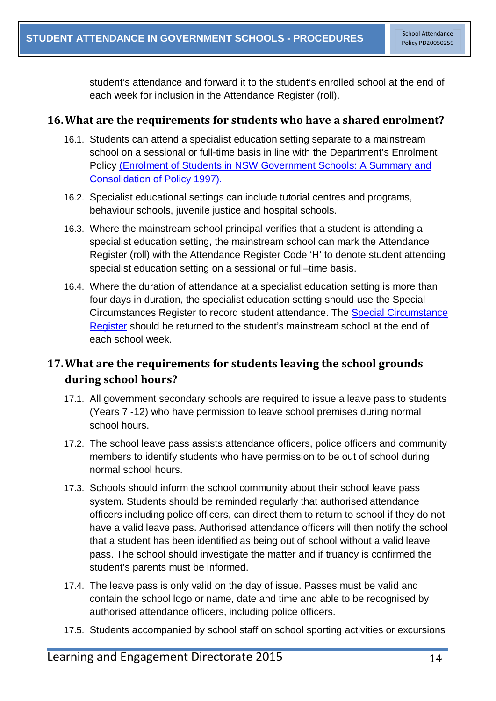student's attendance and forward it to the student's enrolled school at the end of each week for inclusion in the Attendance Register (roll).

#### <span id="page-15-0"></span>**16.What are the requirements for students who have a shared enrolment?**

- 16.1. Students can attend a specialist education setting separate to a mainstream school on a sessional or full-time basis in line with the Department's Enrolment Policy [\(Enrolment of Students in NSW Government Schools: A Summary and](https://www.det.nsw.edu.au/policies/student_admin/enrolment/enrolpol/PD20020006.shtml?)  [Consolidation of Policy 1997\).](https://www.det.nsw.edu.au/policies/student_admin/enrolment/enrolpol/PD20020006.shtml?)
- 16.2. Specialist educational settings can include tutorial centres and programs, behaviour schools, juvenile justice and hospital schools.
- 16.3. Where the mainstream school principal verifies that a student is attending a specialist education setting, the mainstream school can mark the Attendance Register (roll) with the Attendance Register Code 'H' to denote student attending specialist education setting on a sessional or full–time basis.
- 16.4. Where the duration of attendance at a specialist education setting is more than four days in duration, the specialist education setting should use the Special Circumstances Register to record student attendance. The [Special Circumstance](https://www.det.nsw.edu.au/policies/student_admin/attendance/sch_polproc/spcir_reg.pdf)  [Register](https://www.det.nsw.edu.au/policies/student_admin/attendance/sch_polproc/spcir_reg.pdf) should be returned to the student's mainstream school at the end of each school week.

## <span id="page-15-1"></span>**17.What are the requirements for students leaving the school grounds during school hours?**

- 17.1. All government secondary schools are required to issue a leave pass to students (Years 7 -12) who have permission to leave school premises during normal school hours.
- 17.2. The school leave pass assists attendance officers, police officers and community members to identify students who have permission to be out of school during normal school hours.
- 17.3. Schools should inform the school community about their school leave pass system. Students should be reminded regularly that authorised attendance officers including police officers, can direct them to return to school if they do not have a valid leave pass. Authorised attendance officers will then notify the school that a student has been identified as being out of school without a valid leave pass. The school should investigate the matter and if truancy is confirmed the student's parents must be informed.
- 17.4. The leave pass is only valid on the day of issue. Passes must be valid and contain the school logo or name, date and time and able to be recognised by authorised attendance officers, including police officers.
- 17.5. Students accompanied by school staff on school sporting activities or excursions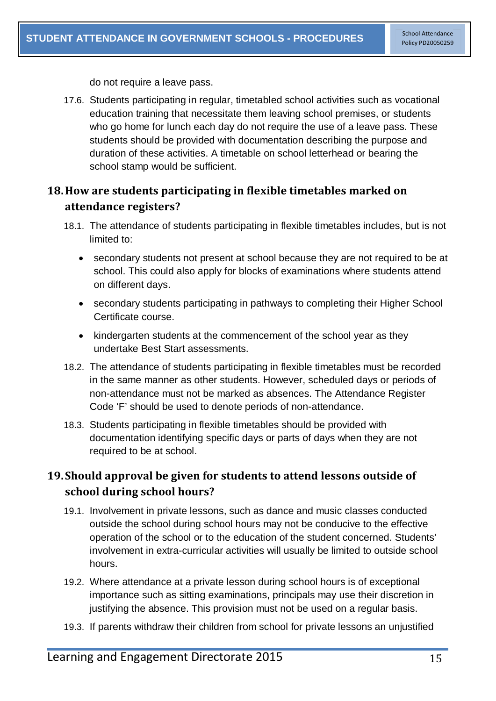do not require a leave pass.

17.6. Students participating in regular, timetabled school activities such as vocational education training that necessitate them leaving school premises, or students who go home for lunch each day do not require the use of a leave pass. These students should be provided with documentation describing the purpose and duration of these activities. A timetable on school letterhead or bearing the school stamp would be sufficient.

## <span id="page-16-0"></span>**18.How are students participating in flexible timetables marked on attendance registers?**

- 18.1. The attendance of students participating in flexible timetables includes, but is not limited to:
	- secondary students not present at school because they are not required to be at school. This could also apply for blocks of examinations where students attend on different days.
	- secondary students participating in pathways to completing their Higher School Certificate course.
	- kindergarten students at the commencement of the school year as they undertake Best Start assessments.
- 18.2. The attendance of students participating in flexible timetables must be recorded in the same manner as other students. However, scheduled days or periods of non-attendance must not be marked as absences. The Attendance Register Code 'F' should be used to denote periods of non-attendance.
- 18.3. Students participating in flexible timetables should be provided with documentation identifying specific days or parts of days when they are not required to be at school.

# <span id="page-16-1"></span>**19.Should approval be given for students to attend lessons outside of school during school hours?**

- 19.1. Involvement in private lessons, such as dance and music classes conducted outside the school during school hours may not be conducive to the effective operation of the school or to the education of the student concerned. Students' involvement in extra-curricular activities will usually be limited to outside school hours.
- 19.2. Where attendance at a private lesson during school hours is of exceptional importance such as sitting examinations, principals may use their discretion in justifying the absence. This provision must not be used on a regular basis.
- 19.3. If parents withdraw their children from school for private lessons an unjustified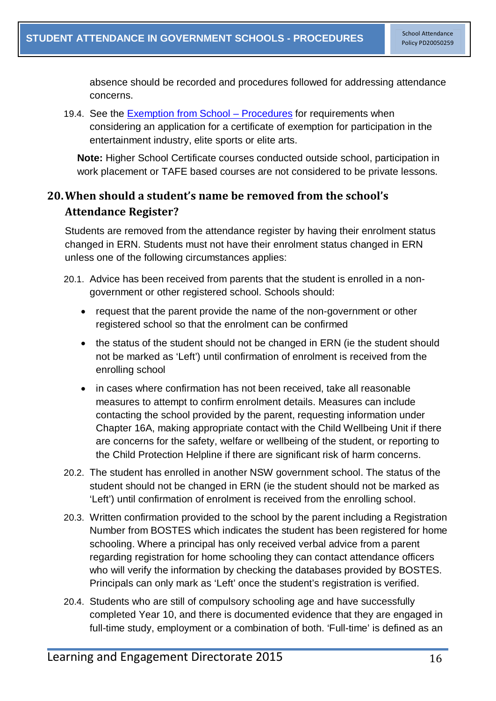absence should be recorded and procedures followed for addressing attendance concerns.

19.4. See the [Exemption from School –](https://www.det.nsw.edu.au/policies/student_admin/attendance/sch_polproc/implementation_2_PD20050259.shtml?level=) Procedures for requirements when considering an application for a certificate of exemption for participation in the entertainment industry, elite sports or elite arts.

**Note:** Higher School Certificate courses conducted outside school, participation in work placement or TAFE based courses are not considered to be private lessons.

## <span id="page-17-0"></span>**20.When should a student's name be removed from the school's Attendance Register?**

Students are removed from the attendance register by having their enrolment status changed in ERN. Students must not have their enrolment status changed in ERN unless one of the following circumstances applies:

- 20.1. Advice has been received from parents that the student is enrolled in a nongovernment or other registered school. Schools should:
	- request that the parent provide the name of the non-government or other registered school so that the enrolment can be confirmed
	- the status of the student should not be changed in ERN (ie the student should not be marked as 'Left') until confirmation of enrolment is received from the enrolling school
	- in cases where confirmation has not been received, take all reasonable measures to attempt to confirm enrolment details. Measures can include contacting the school provided by the parent, requesting information under Chapter 16A, making appropriate contact with the Child Wellbeing Unit if there are concerns for the safety, welfare or wellbeing of the student, or reporting to the Child Protection Helpline if there are significant risk of harm concerns.
- 20.2. The student has enrolled in another NSW government school. The status of the student should not be changed in ERN (ie the student should not be marked as 'Left') until confirmation of enrolment is received from the enrolling school.
- 20.3. Written confirmation provided to the school by the parent including a Registration Number from BOSTES which indicates the student has been registered for home schooling. Where a principal has only received verbal advice from a parent regarding registration for home schooling they can contact attendance officers who will verify the information by checking the databases provided by BOSTES. Principals can only mark as 'Left' once the student's registration is verified.
- 20.4. Students who are still of compulsory schooling age and have successfully completed Year 10, and there is documented evidence that they are engaged in full-time study, employment or a combination of both. 'Full-time' is defined as an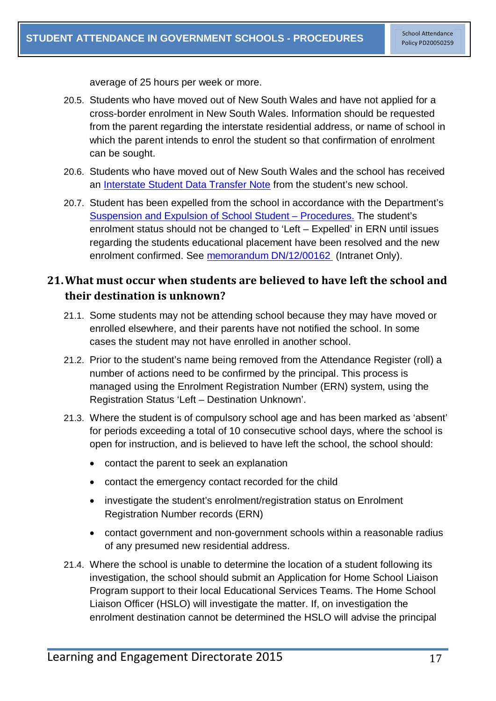average of 25 hours per week or more.

- 20.5. Students who have moved out of New South Wales and have not applied for a cross-border enrolment in New South Wales. Information should be requested from the parent regarding the interstate residential address, or name of school in which the parent intends to enrol the student so that confirmation of enrolment can be sought.
- 20.6. Students who have moved out of New South Wales and the school has received an [Interstate Student Data Transfer Note](http://www.educationcouncil.edu.au/archive/Publications/ISDTN.aspx) from the student's new school.
- 20.7. Student has been expelled from the school in accordance with the Department's [Suspension and Expulsion of School Student –](https://www.det.nsw.edu.au/policies/student_serv/discipline/stu_discip_gov/implementation_2_PD20060316.shtml?) Procedures. The student's enrolment status should not be changed to 'Left – Expelled' in ERN until issues regarding the students educational placement have been resolved and the new enrolment confirmed. See [memorandum DN/12/00162](https://detwww.det.nsw.edu.au/inprincipal/state_office/2012-09-07/z_critical_2.htm) (Intranet Only).

## <span id="page-18-0"></span>**21.What must occur when students are believed to have left the school and their destination is unknown?**

- 21.1. Some students may not be attending school because they may have moved or enrolled elsewhere, and their parents have not notified the school. In some cases the student may not have enrolled in another school.
- 21.2. Prior to the student's name being removed from the Attendance Register (roll) a number of actions need to be confirmed by the principal. This process is managed using the Enrolment Registration Number (ERN) system, using the Registration Status 'Left – Destination Unknown'.
- 21.3. Where the student is of compulsory school age and has been marked as 'absent' for periods exceeding a total of 10 consecutive school days, where the school is open for instruction, and is believed to have left the school, the school should:
	- contact the parent to seek an explanation
	- contact the emergency contact recorded for the child
	- investigate the student's enrolment/registration status on Enrolment Registration Number records (ERN)
	- contact government and non-government schools within a reasonable radius of any presumed new residential address.
- 21.4. Where the school is unable to determine the location of a student following its investigation, the school should submit an Application for Home School Liaison Program support to their local Educational Services Teams. The Home School Liaison Officer (HSLO) will investigate the matter. If, on investigation the enrolment destination cannot be determined the HSLO will advise the principal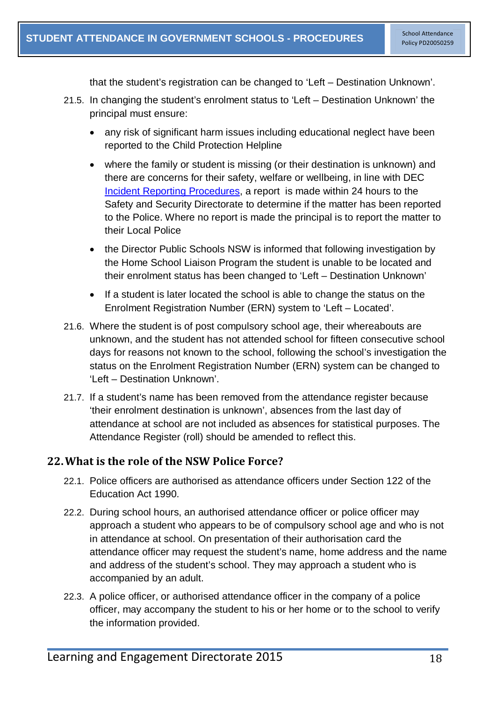that the student's registration can be changed to 'Left – Destination Unknown'.

- 21.5. In changing the student's enrolment status to 'Left Destination Unknown' the principal must ensure:
	- any risk of significant harm issues including educational neglect have been reported to the Child Protection Helpline
	- where the family or student is missing (or their destination is unknown) and there are concerns for their safety, welfare or wellbeing, in line with DEC [Incident Reporting Procedures,](https://detwww.det.nsw.edu.au/policies/administrative/reporting/incident_reporting/incident_proc.pdf) a report is made within 24 hours to the Safety and Security Directorate to determine if the matter has been reported to the Police. Where no report is made the principal is to report the matter to their Local Police
	- the Director Public Schools NSW is informed that following investigation by the Home School Liaison Program the student is unable to be located and their enrolment status has been changed to 'Left – Destination Unknown'
	- If a student is later located the school is able to change the status on the Enrolment Registration Number (ERN) system to 'Left – Located'.
- 21.6. Where the student is of post compulsory school age, their whereabouts are unknown, and the student has not attended school for fifteen consecutive school days for reasons not known to the school, following the school's investigation the status on the Enrolment Registration Number (ERN) system can be changed to 'Left – Destination Unknown'.
- 21.7. If a student's name has been removed from the attendance register because 'their enrolment destination is unknown', absences from the last day of attendance at school are not included as absences for statistical purposes. The Attendance Register (roll) should be amended to reflect this.

## <span id="page-19-0"></span>**22.What is the role of the NSW Police Force?**

- 22.1. Police officers are authorised as attendance officers under Section 122 of the Education Act 1990.
- 22.2. During school hours, an authorised attendance officer or police officer may approach a student who appears to be of compulsory school age and who is not in attendance at school. On presentation of their authorisation card the attendance officer may request the student's name, home address and the name and address of the student's school. They may approach a student who is accompanied by an adult.
- 22.3. A police officer, or authorised attendance officer in the company of a police officer, may accompany the student to his or her home or to the school to verify the information provided.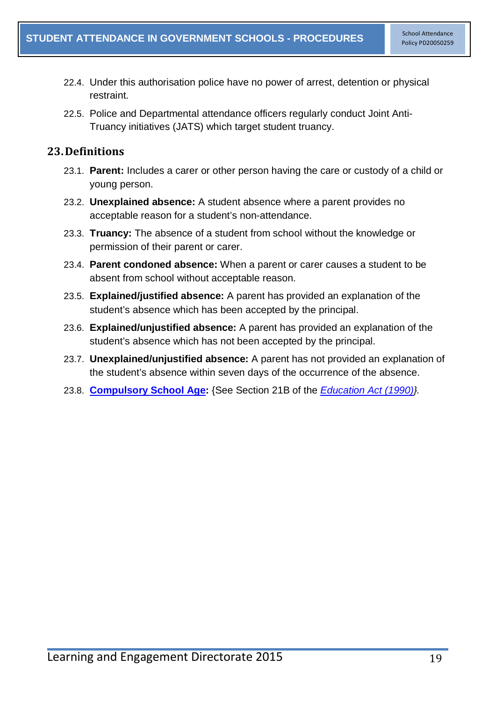- 22.4. Under this authorisation police have no power of arrest, detention or physical restraint.
- 22.5. Police and Departmental attendance officers regularly conduct Joint Anti-Truancy initiatives (JATS) which target student truancy.

## <span id="page-20-0"></span>**23.Definitions**

- 23.1. **Parent:** Includes a carer or other person having the care or custody of a child or young person.
- 23.2. **Unexplained absence:** A student absence where a parent provides no acceptable reason for a student's non-attendance.
- 23.3. **Truancy:** The absence of a student from school without the knowledge or permission of their parent or carer.
- 23.4. **Parent condoned absence:** When a parent or carer causes a student to be absent from school without acceptable reason.
- 23.5. **Explained/justified absence:** A parent has provided an explanation of the student's absence which has been accepted by the principal.
- 23.6. **Explained/unjustified absence:** A parent has provided an explanation of the student's absence which has not been accepted by the principal.
- 23.7. **Unexplained/unjustified absence:** A parent has not provided an explanation of the student's absence within seven days of the occurrence of the absence.
- 23.8. **[Compulsory School Age:](http://www.austlii.edu.au/au/legis/nsw/consol_act/ea1990104/s21b.html)** {See Section 21B of the *[Education Act \(1990\)}](http://www.austlii.edu.au/au/legis/nsw/consol_act/ea1990104/).*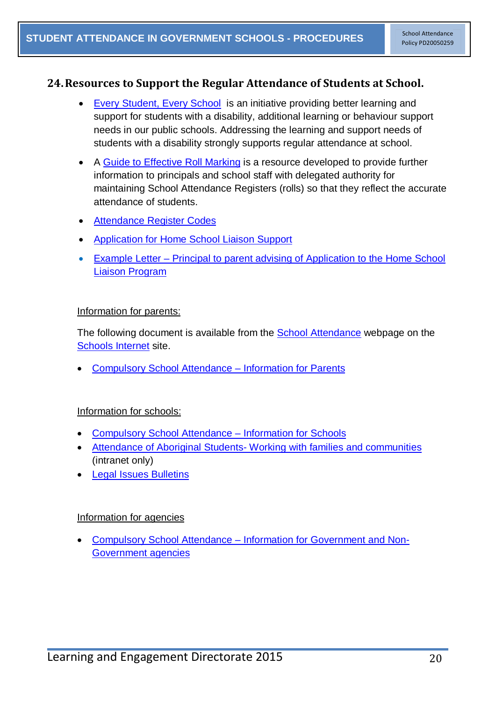#### <span id="page-21-0"></span>**24.Resources to Support the Regular Attendance of Students at School.**

- [Every Student, Every School](http://www.dec.nsw.gov.au/about-us/how-we-operate/national-partnerships/every-student-every-school) is an initiative providing better learning and support for students with a disability, additional learning or behaviour support needs in our public schools. Addressing the learning and support needs of students with a disability strongly supports regular attendance at school.
- A [Guide to Effective Roll Marking](https://detwww.det.nsw.edu.au/media/downloads/intranet/lists/directoratesaz/stuwelfare/stuwellbeing/attendance/roll_mark.pdf) is a resource developed to provide further information to principals and school staff with delegated authority for maintaining School Attendance Registers (rolls) so that they reflect the accurate attendance of students.
- [Attendance Register Codes](https://detwww.det.nsw.edu.au/policies/student_admin/attendance/sch_polproc/reg_codes.pdf)
- [Application for Home School Liaison Support](https://detwww.det.nsw.edu.au/policies/student_admin/attendance/sch_polproc/hslo.pdf)
- Example Letter [Principal to parent advising of Application to the Home School](https://www.det.nsw.edu.au/policies/student_admin/attendance/sch_polproc/let-1.pdf)  [Liaison Program](https://www.det.nsw.edu.au/policies/student_admin/attendance/sch_polproc/let-1.pdf)

#### Information for parents:

The following document is available from the [School Attendance](http://www.schools.nsw.edu.au/studentsupport/programs/attendance.php) webpage on the [Schools Internet](http://www.schools.nsw.edu.au/) site.

• [Compulsory School Attendance –](http://www.schools.nsw.edu.au/media/downloads/schoolsweb/studentsupport/programs/attendance/attend_parents.pdf) Information for Parents

#### Information for schools:

- [Compulsory School Attendance –](http://www.schools.nsw.edu.au/media/downloads/schoolsweb/studentsupport/programs/attendance/attend_schools.pdf) Information for Schools
- Attendance of Aboriginal Students- [Working with families and communities](https://detwww.det.nsw.edu.au/media/downloads/intranet/lists/directoratesaz/stuwelfare/stuwellbeing/discipline_team/Att_Ab_St.pdf) (intranet only)
- **[Legal Issues Bulletins](https://detwww.det.nsw.edu.au/lists/directoratesaz/legalservices/ls/legalissuesbul/bulletinsissued/index.htm)**

#### Information for agencies

• Compulsory School Attendance – [Information for Government and Non-](http://www.schools.nsw.edu.au/media/downloads/schoolsweb/studentsupport/programs/attendance/attend_orgs.pdf)[Government agencies](http://www.schools.nsw.edu.au/media/downloads/schoolsweb/studentsupport/programs/attendance/attend_orgs.pdf)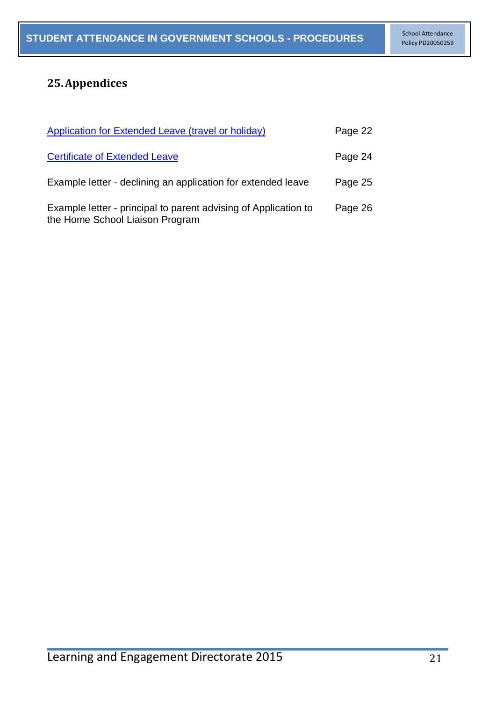# <span id="page-22-0"></span>**25.Appendices**

| <b>Application for Extended Leave (travel or holiday)</b>                                          | Page 22 |
|----------------------------------------------------------------------------------------------------|---------|
| <b>Certificate of Extended Leave</b>                                                               | Page 24 |
| Example letter - declining an application for extended leave                                       | Page 25 |
| Example letter - principal to parent advising of Application to<br>the Home School Liaison Program | Page 26 |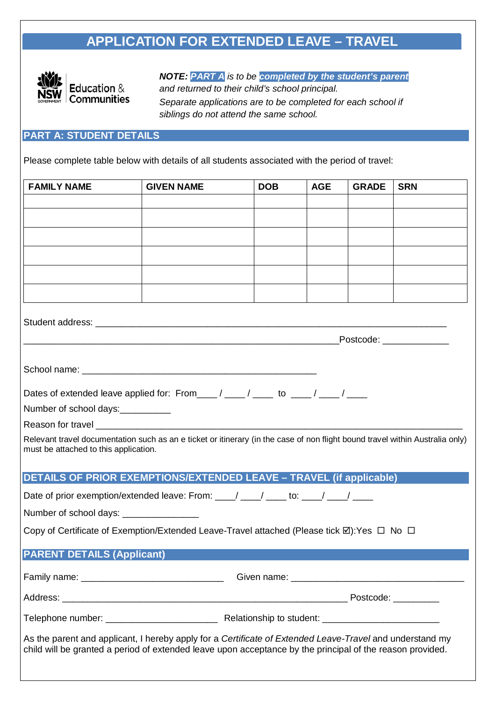# **APPLICATION FOR EXTENDED LEAVE – TRAVEL**



*NOTE: PART A is to be completed by the student's parent and returned to their child's school principal. Separate applications are to be completed for each school if siblings do not attend the same school.*

## **PART A: STUDENT DETAILS**

Please complete table below with details of all students associated with the period of travel:

| <b>FAMILY NAME</b>                                                                                                                                                                                                    | <b>GIVEN NAME</b>                                                              | <b>DOB</b> | <b>AGE</b> | <b>GRADE</b> | <b>SRN</b> |  |  |  |
|-----------------------------------------------------------------------------------------------------------------------------------------------------------------------------------------------------------------------|--------------------------------------------------------------------------------|------------|------------|--------------|------------|--|--|--|
|                                                                                                                                                                                                                       |                                                                                |            |            |              |            |  |  |  |
|                                                                                                                                                                                                                       |                                                                                |            |            |              |            |  |  |  |
|                                                                                                                                                                                                                       |                                                                                |            |            |              |            |  |  |  |
|                                                                                                                                                                                                                       |                                                                                |            |            |              |            |  |  |  |
|                                                                                                                                                                                                                       |                                                                                |            |            |              |            |  |  |  |
|                                                                                                                                                                                                                       |                                                                                |            |            |              |            |  |  |  |
|                                                                                                                                                                                                                       |                                                                                |            |            |              |            |  |  |  |
| _Postcode: ______________<br><u> 1989 - Johann John Stein, marwolaethau (b. 1989)</u>                                                                                                                                 |                                                                                |            |            |              |            |  |  |  |
|                                                                                                                                                                                                                       |                                                                                |            |            |              |            |  |  |  |
| Dates of extended leave applied for: From ____/ ____/ ____ to ____/ ____/                                                                                                                                             |                                                                                |            |            |              |            |  |  |  |
| Number of school days:                                                                                                                                                                                                |                                                                                |            |            |              |            |  |  |  |
|                                                                                                                                                                                                                       |                                                                                |            |            |              |            |  |  |  |
| Relevant travel documentation such as an e ticket or itinerary (in the case of non flight bound travel within Australia only)<br>must be attached to this application.                                                |                                                                                |            |            |              |            |  |  |  |
| <b>DETAILS OF PRIOR EXEMPTIONS/EXTENDED LEAVE - TRAVEL (if applicable)</b>                                                                                                                                            |                                                                                |            |            |              |            |  |  |  |
|                                                                                                                                                                                                                       | Date of prior exemption/extended leave: From: ___/ ___/ ___ to: ___/ ___/ ____ |            |            |              |            |  |  |  |
|                                                                                                                                                                                                                       | Number of school days: ________________                                        |            |            |              |            |  |  |  |
| Copy of Certificate of Exemption/Extended Leave-Travel attached (Please tick $\boxtimes$ ): Yes $\Box$ No $\Box$                                                                                                      |                                                                                |            |            |              |            |  |  |  |
| <b>PARENT DETAILS (Applicant)</b>                                                                                                                                                                                     |                                                                                |            |            |              |            |  |  |  |
|                                                                                                                                                                                                                       |                                                                                |            |            |              |            |  |  |  |
|                                                                                                                                                                                                                       |                                                                                |            |            |              |            |  |  |  |
|                                                                                                                                                                                                                       |                                                                                |            |            |              |            |  |  |  |
| As the parent and applicant, I hereby apply for a Certificate of Extended Leave-Travel and understand my<br>child will be granted a period of extended leave upon acceptance by the principal of the reason provided. |                                                                                |            |            |              |            |  |  |  |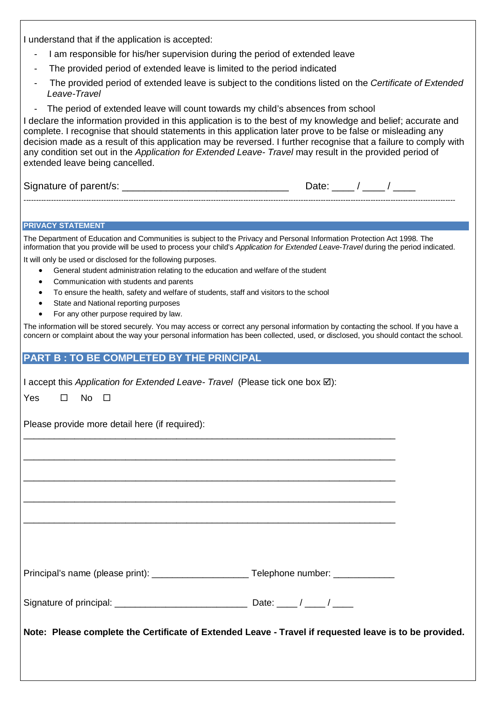I understand that if the application is accepted:

- I am responsible for his/her supervision during the period of extended leave
- The provided period of extended leave is limited to the period indicated
- The provided period of extended leave is subject to the conditions listed on the *Certificate of Extended Leave-Travel*
- The period of extended leave will count towards my child's absences from school

I declare the information provided in this application is to the best of my knowledge and belief; accurate and complete. I recognise that should statements in this application later prove to be false or misleading any decision made as a result of this application may be reversed. I further recognise that a failure to comply with any condition set out in the *Application for Extended Leave- Travel* may result in the provided period of extended leave being cancelled.

Signature of parent/s: \_\_\_\_\_\_\_\_\_\_\_\_\_\_\_\_\_\_\_\_\_\_\_\_\_\_\_\_\_\_ Date: \_\_\_\_ / \_\_\_\_ / \_\_\_\_

#### **PRIVACY STATEMENT**

The Department of Education and Communities is subject to the Privacy and Personal Information Protection Act 1998. The information that you provide will be used to process your child's *Application for Extended Leave-Travel* during the period indicated.

-----------------------------------------------------------------------------------------------------------------------------------------------------------------------------

It will only be used or disclosed for the following purposes.

- General student administration relating to the education and welfare of the student
- Communication with students and parents
- To ensure the health, safety and welfare of students, staff and visitors to the school
- State and National reporting purposes
- For any other purpose required by law.

The information will be stored securely. You may access or correct any personal information by contacting the school. If you have a concern or complaint about the way your personal information has been collected, used, or disclosed, you should contact the school.

#### **PART B : TO BE COMPLETED BY THE PRINCIPAL**

| I accept this Application for Extended Leave- Travel (Please tick one box $\boxtimes$ ):               |                                                                                                                      |
|--------------------------------------------------------------------------------------------------------|----------------------------------------------------------------------------------------------------------------------|
| $\square$ No $\square$<br>Yes                                                                          |                                                                                                                      |
| Please provide more detail here (if required):                                                         |                                                                                                                      |
|                                                                                                        |                                                                                                                      |
|                                                                                                        |                                                                                                                      |
|                                                                                                        | <u> 1980 - Jan James James James James James James James James James James James James James James James James J</u> |
|                                                                                                        |                                                                                                                      |
| Principal's name (please print): ________________________Telephone number: ____________                |                                                                                                                      |
|                                                                                                        |                                                                                                                      |
| Note: Please complete the Certificate of Extended Leave - Travel if requested leave is to be provided. |                                                                                                                      |
|                                                                                                        |                                                                                                                      |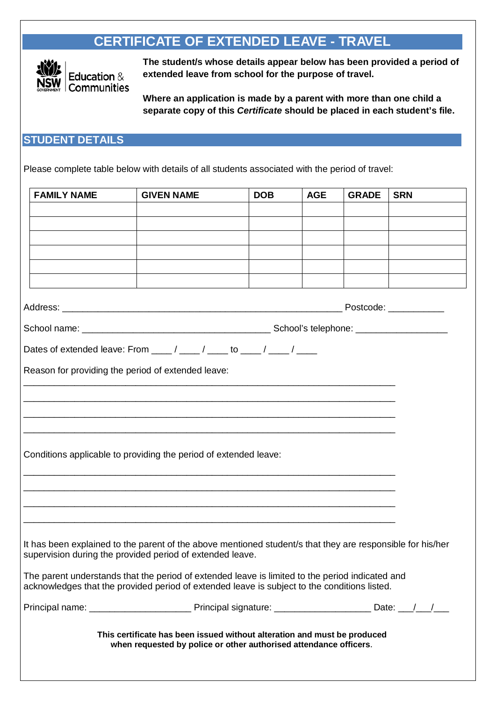# **CERTIFICATE OF EXTENDED LEAVE - TRAVEL**



**The student/s whose details appear below has been provided a period of extended leave from school for the purpose of travel.**

**Where an application is made by a parent with more than one child a separate copy of this** *Certificate* **should be placed in each student's file.**

#### **STUDENT DETAILS**

Please complete table below with details of all students associated with the period of travel:

|                                                                                                                                                                                                 | <b>FAMILY NAME</b>                                                                                                                            | <b>GIVEN NAME</b>                                                                                                        | <b>DOB</b> | <b>AGE</b> | <b>GRADE</b> | <b>SRN</b> |  |  |
|-------------------------------------------------------------------------------------------------------------------------------------------------------------------------------------------------|-----------------------------------------------------------------------------------------------------------------------------------------------|--------------------------------------------------------------------------------------------------------------------------|------------|------------|--------------|------------|--|--|
|                                                                                                                                                                                                 |                                                                                                                                               |                                                                                                                          |            |            |              |            |  |  |
|                                                                                                                                                                                                 |                                                                                                                                               |                                                                                                                          |            |            |              |            |  |  |
|                                                                                                                                                                                                 |                                                                                                                                               |                                                                                                                          |            |            |              |            |  |  |
|                                                                                                                                                                                                 |                                                                                                                                               |                                                                                                                          |            |            |              |            |  |  |
|                                                                                                                                                                                                 |                                                                                                                                               |                                                                                                                          |            |            |              |            |  |  |
|                                                                                                                                                                                                 | Postcode: ____________                                                                                                                        |                                                                                                                          |            |            |              |            |  |  |
|                                                                                                                                                                                                 |                                                                                                                                               |                                                                                                                          |            |            |              |            |  |  |
|                                                                                                                                                                                                 |                                                                                                                                               | Dates of extended leave: From $\frac{1}{\sqrt{2}}$ / $\frac{1}{\sqrt{2}}$ to $\frac{1}{\sqrt{2}}$ / $\frac{1}{\sqrt{2}}$ |            |            |              |            |  |  |
|                                                                                                                                                                                                 |                                                                                                                                               |                                                                                                                          |            |            |              |            |  |  |
|                                                                                                                                                                                                 | Reason for providing the period of extended leave:                                                                                            |                                                                                                                          |            |            |              |            |  |  |
|                                                                                                                                                                                                 |                                                                                                                                               |                                                                                                                          |            |            |              |            |  |  |
|                                                                                                                                                                                                 |                                                                                                                                               |                                                                                                                          |            |            |              |            |  |  |
|                                                                                                                                                                                                 |                                                                                                                                               |                                                                                                                          |            |            |              |            |  |  |
|                                                                                                                                                                                                 |                                                                                                                                               | Conditions applicable to providing the period of extended leave:                                                         |            |            |              |            |  |  |
|                                                                                                                                                                                                 |                                                                                                                                               |                                                                                                                          |            |            |              |            |  |  |
|                                                                                                                                                                                                 |                                                                                                                                               |                                                                                                                          |            |            |              |            |  |  |
|                                                                                                                                                                                                 |                                                                                                                                               |                                                                                                                          |            |            |              |            |  |  |
|                                                                                                                                                                                                 |                                                                                                                                               |                                                                                                                          |            |            |              |            |  |  |
|                                                                                                                                                                                                 |                                                                                                                                               | It has been explained to the parent of the above mentioned student/s that they are responsible for his/her               |            |            |              |            |  |  |
| supervision during the provided period of extended leave.                                                                                                                                       |                                                                                                                                               |                                                                                                                          |            |            |              |            |  |  |
| The parent understands that the period of extended leave is limited to the period indicated and<br>acknowledges that the provided period of extended leave is subject to the conditions listed. |                                                                                                                                               |                                                                                                                          |            |            |              |            |  |  |
|                                                                                                                                                                                                 |                                                                                                                                               |                                                                                                                          |            |            |              |            |  |  |
|                                                                                                                                                                                                 | This certificate has been issued without alteration and must be produced<br>when requested by police or other authorised attendance officers. |                                                                                                                          |            |            |              |            |  |  |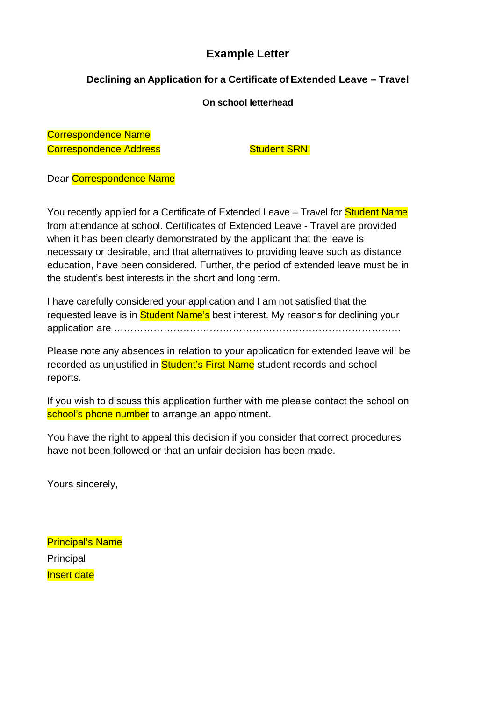## **Example Letter**

## **Declining an Application for a Certificate of Extended Leave – Travel**

#### **On school letterhead**

Correspondence Name Correspondence Address Student SRN:

Dear Correspondence Name

You recently applied for a Certificate of Extended Leave – Travel for **Student Name** from attendance at school. Certificates of Extended Leave - Travel are provided when it has been clearly demonstrated by the applicant that the leave is necessary or desirable, and that alternatives to providing leave such as distance education, have been considered. Further, the period of extended leave must be in the student's best interests in the short and long term.

I have carefully considered your application and I am not satisfied that the requested leave is in **Student Name's** best interest. My reasons for declining your application are ……………………………………………………………………………

Please note any absences in relation to your application for extended leave will be recorded as unjustified in **Student's First Name** student records and school reports.

If you wish to discuss this application further with me please contact the school on school's phone number to arrange an appointment.

You have the right to appeal this decision if you consider that correct procedures have not been followed or that an unfair decision has been made.

Yours sincerely,

Principal's Name Principal **Insert date**